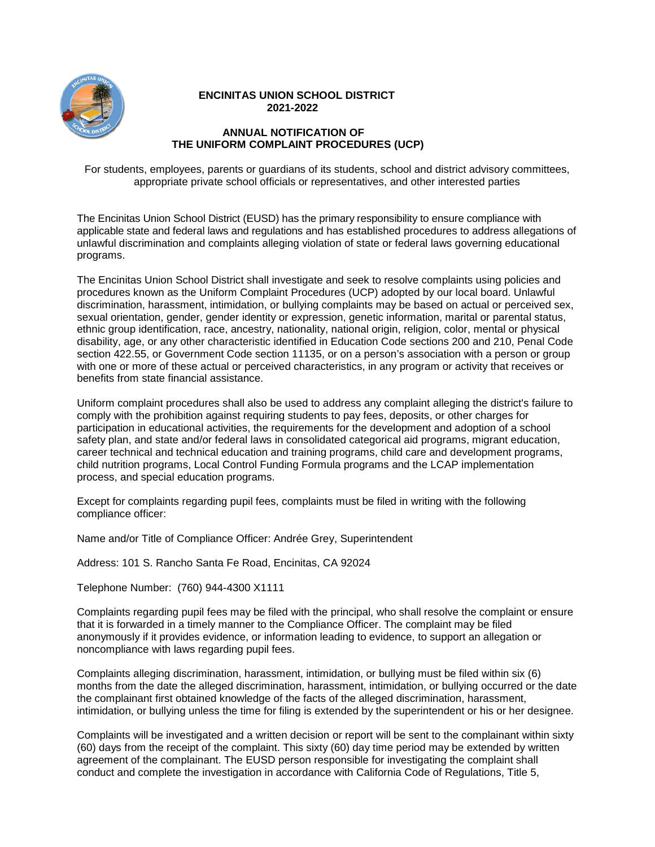

## **ENCINITAS UNION SCHOOL DISTRICT 2021-2022**

## **ANNUAL NOTIFICATION OF THE UNIFORM COMPLAINT PROCEDURES (UCP)**

For students, employees, parents or guardians of its students, school and district advisory committees, appropriate private school officials or representatives, and other interested parties

The Encinitas Union School District (EUSD) has the primary responsibility to ensure compliance with applicable state and federal laws and regulations and has established procedures to address allegations of unlawful discrimination and complaints alleging violation of state or federal laws governing educational programs.

The Encinitas Union School District shall investigate and seek to resolve complaints using policies and procedures known as the Uniform Complaint Procedures (UCP) adopted by our local board. Unlawful discrimination, harassment, intimidation, or bullying complaints may be based on actual or perceived sex, sexual orientation, gender, gender identity or expression, genetic information, marital or parental status, ethnic group identification, race, ancestry, nationality, national origin, religion, color, mental or physical disability, age, or any other characteristic identified in Education Code sections 200 and 210, Penal Code section 422.55, or Government Code section 11135, or on a person's association with a person or group with one or more of these actual or perceived characteristics, in any program or activity that receives or benefits from state financial assistance.

Uniform complaint procedures shall also be used to address any complaint alleging the district's failure to comply with the prohibition against requiring students to pay fees, deposits, or other charges for participation in educational activities, the requirements for the development and adoption of a school safety plan, and state and/or federal laws in consolidated categorical aid programs, migrant education, career technical and technical education and training programs, child care and development programs, child nutrition programs, Local Control Funding Formula programs and the LCAP implementation process, and special education programs.

Except for complaints regarding pupil fees, complaints must be filed in writing with the following compliance officer:

Name and/or Title of Compliance Officer: Andrée Grey, Superintendent

Address: 101 S. Rancho Santa Fe Road, Encinitas, CA 92024

Telephone Number: (760) 944-4300 X1111

Complaints regarding pupil fees may be filed with the principal, who shall resolve the complaint or ensure that it is forwarded in a timely manner to the Compliance Officer. The complaint may be filed anonymously if it provides evidence, or information leading to evidence, to support an allegation or noncompliance with laws regarding pupil fees.

Complaints alleging discrimination, harassment, intimidation, or bullying must be filed within six (6) months from the date the alleged discrimination, harassment, intimidation, or bullying occurred or the date the complainant first obtained knowledge of the facts of the alleged discrimination, harassment, intimidation, or bullying unless the time for filing is extended by the superintendent or his or her designee.

Complaints will be investigated and a written decision or report will be sent to the complainant within sixty (60) days from the receipt of the complaint. This sixty (60) day time period may be extended by written agreement of the complainant. The EUSD person responsible for investigating the complaint shall conduct and complete the investigation in accordance with California Code of Regulations, Title 5,